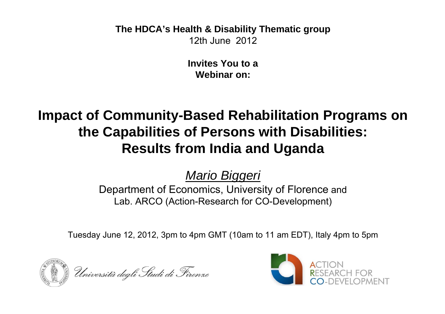**The HDCA's Health & Disability Thematic group** 12th June 2012

> **Invites You to a Webinar on:**

### **Impact of Community-Based Rehabilitation Programs on the Capabilities of Persons with Disabilities: Results from India and Uganda**

*Mario Biggeri*

Department of Economics, University of Florence and Lab. ARCO (Action-Research for CO-Development)

Tuesday June 12, 2012, 3pm to 4pm GMT (10am to 11 am EDT), Italy 4pm to 5pm



Università degli Studi di Firenze

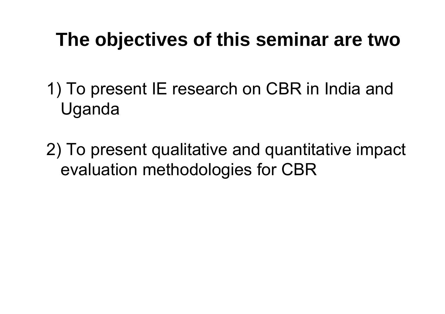## **The objectives of this seminar are two**

- 1) To present IE research on CBR in India and Uganda
- 2) To present qualitative and quantitative impact evaluation methodologies for CBR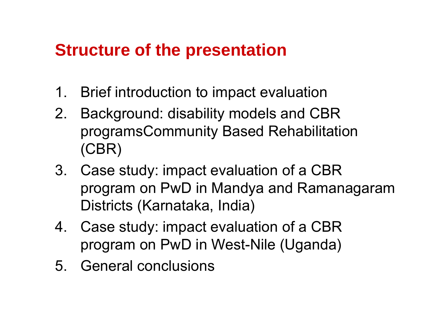### **Structure of the presentation**

- 1. Brief introduction to impact evaluation
- 2. Background: disability models and CBR programsCommunity Based Rehabilitation (CBR)
- 3. Case study: impact evaluation of a CBR program on PwD in Mandya and Ramanagaram Districts (Karnataka, India)
- 4. Case study: impact evaluation of a CBR program on PwD in West-Nile (Uganda)
- 5. General conclusions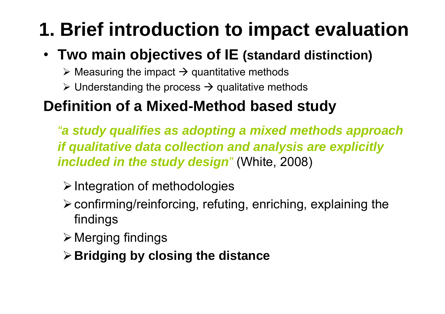# **1. Brief introduction to impact evaluation**

### • **Two main objectives of IE (standard distinction)**

- $\triangleright$  Measuring the impact  $\rightarrow$  quantitative methods
- $\triangleright$  Understanding the process  $\rightarrow$  qualitative methods

### **Definition of a Mixed-Method based study**

*"a study qualifies as adopting a mixed methods approach if qualitative data collection and analysis are explicitly included in the study design "* (White, 2008)

- $\triangleright$  Integration of methodologies
- $\triangleright$  confirming/reinforcing, refuting, enriching, explaining the findings
- $\triangleright$  Merging findings
- ¾**Bridging by closing the distance**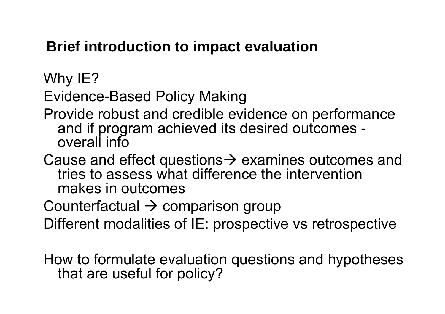### **Brief introduction to impact evaluation**

Why IE?

Evidence-Based Policy Making

- Provide robust and credible evidence on performance and if program achieved its desired outcomes overall info
- Cause and effect questions $\rightarrow$  examines outcomes and tries to assess what difference the intervention makes in outcomes
- Counterfactual  $\rightarrow$  comparison group
- Different modalities of IE: prospective vs retrospective

How to formulate evaluation questions and hypotheses that are useful for policy?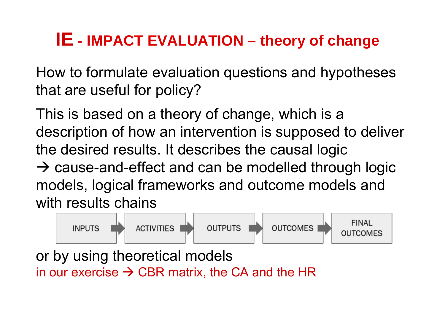## **IE - IMPACT EVALUATION – theory of change**

How to formulate evaluation questions and hypotheses that are useful for policy?

This is based on a theory of change, which is a description of how an intervention is supposed to deliver the desired results. It describes the causal logic

 $\rightarrow$  cause-and-effect and can be modelled through logic models, logical frameworks and outcome models and with results chains



or by using theoretical models in our exercise  $\rightarrow$  CBR matrix, the CA and the HR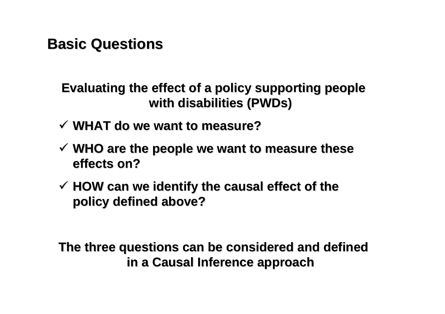#### **Basic Questions Questions**

**Evaluating the effect of a policy supporting people with disabilities disabilities (PWDs)** 

- 9 **WHAT do WHAT do we want to measure measure?**
- 9 **WHO are the people WHO are the people we want to measure measure these effects effects on?**
- $\checkmark$  HOW can we identify the causal effect of the **policy defined defined above?**

**The three questions questions can be considered considered and defined defined in a Causal Inference Inference approach approach**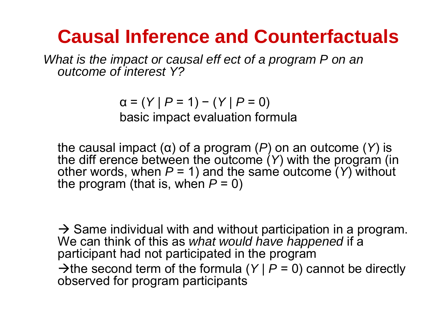## **Causal Inference and Counterfactuals**

*What is the impact or causal eff ect of a program P on an outcome of interest Y?*

> α = (*Y* | *P* = 1) − (*Y* | *P* = 0) basic impact evaluation formula

the causal impact (α) of a program (*P*) on an outcome ( Y) is the diff erence between the outcome ( *Y*) with the program (in other words, when *P* = 1) and the same outcome ( *Y*) without the program (that is, when  $P = 0$ )

 $\rightarrow$  Same individual with and without participation in a program. We can think of this as *what would have happened* if <sup>a</sup> participant had not participated in the program  $\rightarrow$  the second term of the formula (*Y* | *P* = 0) cannot be directly observed for program participants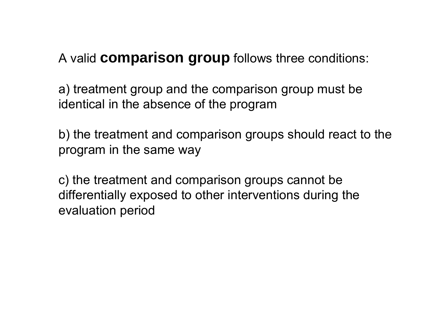#### A valid **comparison group** follows three conditions:

a) treatment group and the comparison group must be identical in the absence of the program

b) the treatment and comparison groups should react to the program in the same way

c) the treatment and comparison groups cannot be differentially exposed to other interventions during the evaluation period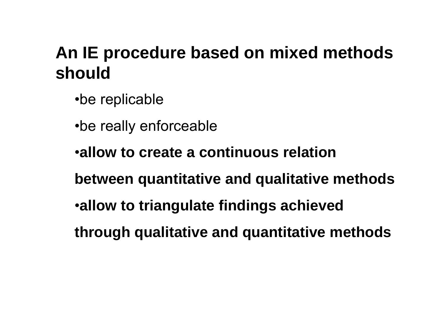## **An IE procedure based on mixed methods should**

- •be replicable
- •be really enforceable
- •**allow to create a continuous relation**
- **between quantitative and qualitative methods**
- •**allow to triangulate findings achieved**
- **through qualitative and quantitative methods**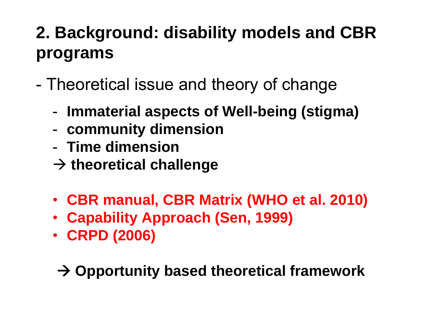## **2. Background: disability models and CBR programs**

- - Theoretical issue and theory of change
	- -**Immaterial aspects of Well-being (stigma)**
	- **community dimension**
	- **Time dimension**
	- $\rightarrow$  theoretical challenge
	- **CBR manual, CBR Matrix (WHO et al. 2010)**
	- **Capability Approach (Sen, 1999)**
	- **CRPD (2006)**

### Æ **Opportunity based theoretical framework**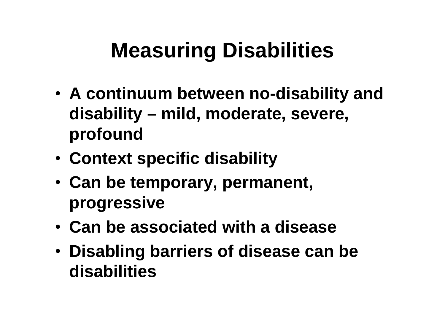# **Measuring Disabilities**

- • **A continuum between no-disability and disability – mild, moderate, severe, profound**
- •**Context specific disability**
- • **Can be temporary, permanent, progressive**
- **Can be associated with a disease**
- • **Disabling barriers of disease can be disabilities**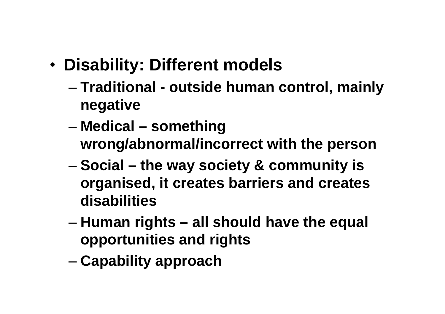- • **Disability: Different models**
	- – **Traditional - outside human control, mainly negative**
	- – **Medical – something wrong/abnormal/incorrect with the person**
	- – **Social – the way society & community is organised, it creates barriers and creates disabilities**
	- – **Human rights – all should have the equal opportunities and rights**
	- –**Capability approach**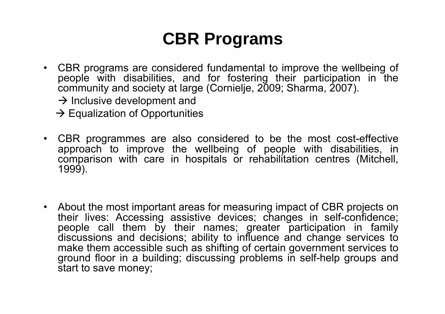### **CBR Programs**

- $\bullet$  CBR programs are considered fundamental to improve the wellbeing of people with disabilities, and for fostering their participation in the community and society at large (Cornielje, 2009; Sharma, 2007).
	- $\rightarrow$  Inclusive development and
	- $\rightarrow$  Equalization of Opportunities
- CBR programmes are also considered to be the most cost-effective approach to improve the wellbeing of people with disabilities, in comparison with care in hospitals or rehabilitation centres (Mitchell, 1999).
- About the most important areas for measuring impact of CBR projects on their lives: Accessing assistive devices; changes in self-confidence; people call them by their names; greater participation in family discussions and decisions; ability to influence and change services to make them accessible such as shifting of certain government services to ground floor in a building; discussing problems in self-help groups and start to save money;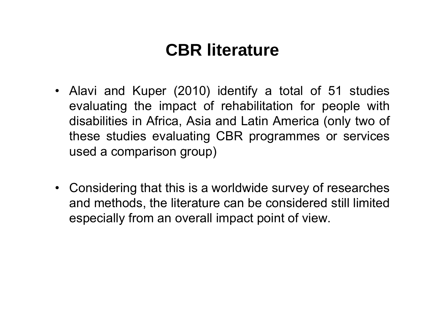### **CBR literature**

- Alavi and Kuper (2010) identify a total of 51 studies evaluating the impact of rehabilitation for people with disabilities in Africa, Asia and Latin America (only two of these studies evaluating CBR programmes or services used a comparison group)
- Considering that this is a worldwide survey of researches and methods, the literature can be considered still limited especially from an overall impact point of view.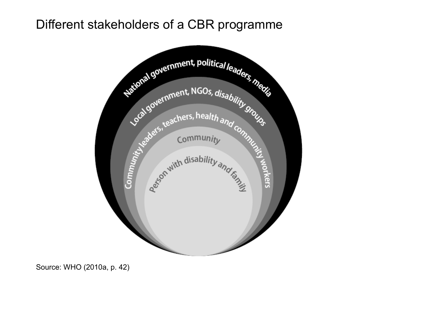#### Different stakeholders of a CBR programme



Source: WHO (2010a, p. 42)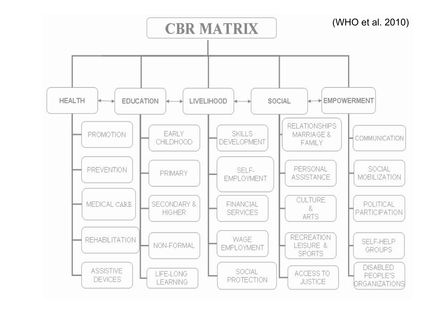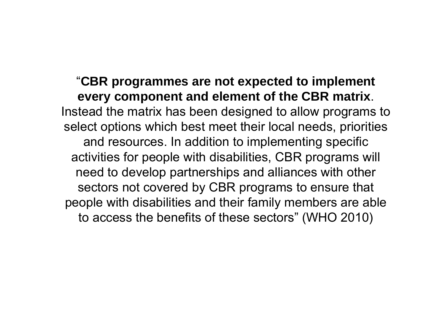"**CBR programmes are not expected to implement every component and element of the CBR matrix**. Instead the matrix has been designed to allow programs to select options which best meet their local needs, priorities and resources. In addition to implementing specific activities for people with disabilities, CBR programs will need to develop partnerships and alliances with other sectors not covered by CBR programs to ensure that people with disabilities and their family members are able to access the benefits of these sectors" (WHO 2010)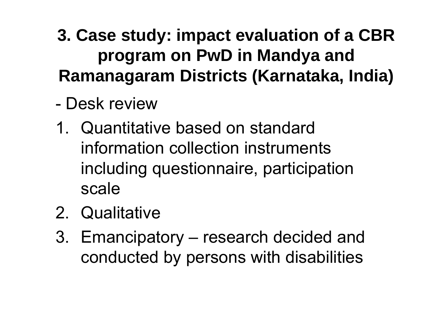## **3. Case study: impact evaluation of a CBR program on PwD in Mandya and Ramanagaram Districts (Karnataka, India)**

- Desk review
- 1. Quantitative based on standard information collection instrumentsincluding questionnaire, participation scale
- 2. Qualitative
- 3. Emancipatory research decided and conducted by persons with disabilities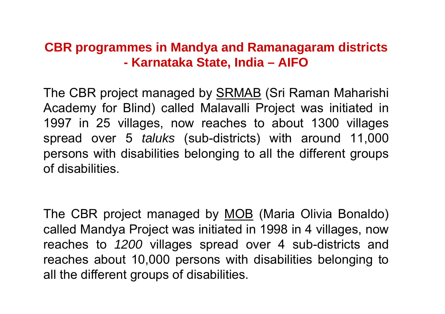#### **CBR programmes in Mandya and Ramanagaram districts - Karnataka State, India – AIFO**

The CBR project managed by SRMAB (Sri Raman Maharishi Academy for Blind) called Malavalli Project was initiated in 1997 in 25 villages, now reaches to about 1300 villages spread over 5 *taluks* (sub-districts) with around 11,000 persons with disabilities belonging to all the different groups of disabilities.

The CBR project managed by **MOB** (Maria Olivia Bonaldo) called Mandya Project was initiated in 1998 in 4 villages, now reaches to *1200* villages spread over 4 sub-districts and reaches about 10,000 persons with disabilities belonging to all the different groups of disabilities.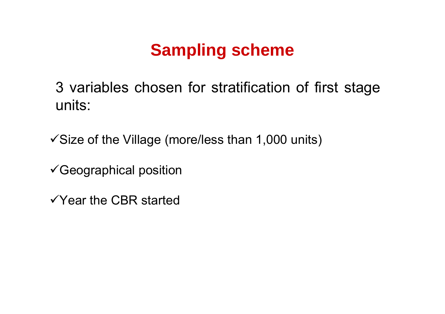## **Sampling scheme**

3 variables chosen for stratification of first stage units:

 $\checkmark$  Size of the Village (more/less than 1,000 units)

 $\checkmark$ Geographical position

 $\checkmark$  Year the CBR started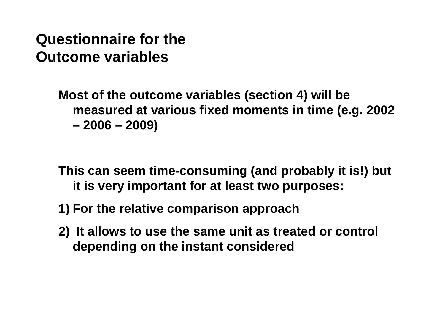### **Questionnaire for the Outcome variables**

**Most of the outcome variables (section 4) will be measured at various fixed moments in time (e.g. 2002 – 2006 – 2009)**

**This can seem time-consuming (and probably it is!) but it is very important for at least two purposes:** 

- **1) For the relative comparison approach**
- **2) It allows to use the same unit as treated or control depending on the instant considered**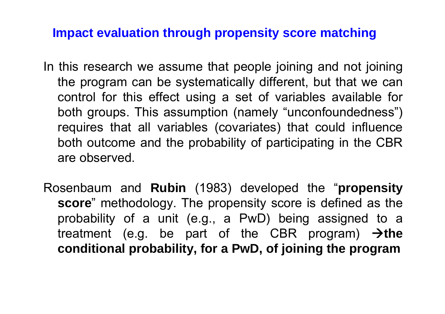#### **Impact evaluation through propensity score matching**

- In this research we assume that people joining and not joining the program can be systematically different, but that we can control for this effect using a set of variables available for both groups. This assumption (namely "unconfoundedness") requires that all variables (covariates) that could influence both outcome and the probability of participating in the CBR are observed.
- Rosenbaum and **Rubin** (1983) developed the "**propensity score**" methodology. The propensity score is defined as the probability of a unit (e.g., a PwD) being assigned to a treatment (e.g. be part of the CBR program)  $\rightarrow$ the **conditional probability, for a PwD, of joining the program**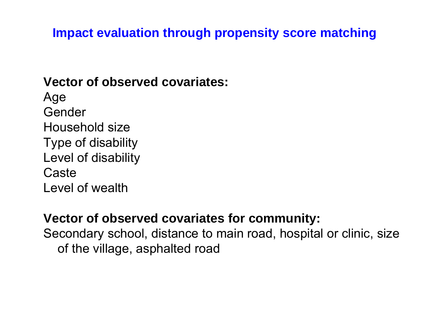#### **Impact evaluation through propensity score matching**

#### **Vector of observed covariates:**

Age GenderHousehold sizeType of disability Level of disability **Caste** Level of wealth

#### **Vector of observed covariates for community:**

Secondary school, distance to main road, hospital or clinic, size of the village, asphalted road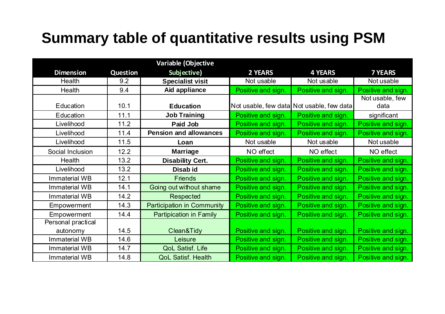### **Summary table of quantitative results using PSM**

|                      |                 | Variable (Objective            |                    |                                           |                    |
|----------------------|-----------------|--------------------------------|--------------------|-------------------------------------------|--------------------|
| <b>Dimension</b>     | <b>Question</b> | Subjective)                    | 2 YEARS            | <b>4 YEARS</b>                            | <b>7 YEARS</b>     |
| Health               | 9.2             | <b>Specialist visit</b>        | Not usable         | Not usable                                | Not usable         |
| Health               | 9.4             | Aid appliance                  | Positive and sign. | Positive and sign.                        | Positive and sign. |
|                      |                 |                                |                    |                                           | Not usable, few    |
| Education            | 10.1            | <b>Education</b>               |                    | Not usable, few data Not usable, few data | data               |
| Education            | 11.1            | <b>Job Training</b>            | Positive and sign. | Positive and sign.                        | significant        |
| Livelihood           | 11.2            | <b>Paid Job</b>                | Positive and sign. | Positive and sign.                        | Positive and sign. |
| Livelihood           | 11.4            | <b>Pension and allowances</b>  | Positive and sign. | Positive and sign.                        | Positive and sign. |
| Livelihood           | 11.5            | Loan                           | Not usable         | Not usable                                | Not usable         |
| Social Inclusion     | 12.2            | <b>Marriage</b>                | NO effect          | NO effect                                 | NO effect          |
| Health               | 13.2            | <b>Disability Cert.</b>        | Positive and sign. | Positive and sign.                        | Positive and sign. |
| Livelihood           | 13.2            | Disab id                       | Positive and sign. | Positive and sign.                        | Positive and sign. |
| <b>Immaterial WB</b> | 12.1            | <b>Friends</b>                 | Positive and sign. | Positive and sign.                        | Positive and sign. |
| <b>Immaterial WB</b> | 14.1            | Going out without shame        | Positive and sign. | Positive and sign.                        | Positive and sign. |
| Immaterial WB        | 14.2            | Respected                      | Positive and sign. | Positive and sign.                        | Positive and sign. |
| Empowerment          | 14.3            | Participation in Community     | Positive and sign. | Positive and sign.                        | Positive and sign. |
| Empowerment          | 14.4            | <b>Partipication in Family</b> | Positive and sign. | Positive and sign.                        | Positive and sign. |
| Personal practical   |                 |                                |                    |                                           |                    |
| autonomy             | 14.5            | Clean&Tidy                     | Positive and sign. | Positive and sign.                        | Positive and sign. |
| <b>Immaterial WB</b> | 14.6            | Leisure                        | Positive and sign. | Positive and sign.                        | Positive and sign. |
| Immaterial WB        | 14.7            | <b>QoL Satisf. Life</b>        | Positive and sign. | Positive and sign.                        | Positive and sign. |
| Immaterial WB        | 14.8            | <b>QoL Satisf. Health</b>      | Positive and sign. | Positive and sign.                        | Positive and sign. |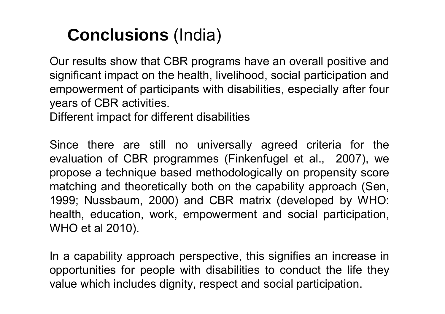## **Conclusions** (India)

Our results show that CBR programs have an overall positive and significant impact on the health, livelihood, social participation and empowerment of participants with disabilities, especially after four years of CBR activities.

Different impact for different disabilities

Since there are still no universally agreed criteria for the evaluation of CBR programmes (Finkenfugel et al., 2007), we propose a technique based methodologically on propensity score matching and theoretically both on the capability approach (Sen, 1999; Nussbaum, 2000) and CBR matrix (developed by WHO: health, education, work, empowerment and social participation, WHO et al 2010).

In a capability approach perspective, this signifies an increase in opportunities for people with disabilities to conduct the life they value which includes dignity, respect and social participation.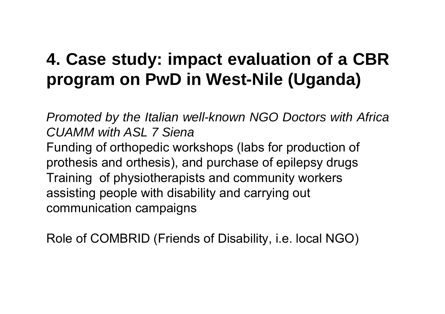## **4. Case study: impact evaluation of a CBR program on PwD in West-Nile (Uganda)**

*Promoted by the Italian well-known NGO Doctors with Africa CUAMM with ASL 7 Siena*  Funding of orthopedic workshops (labs for production of prothesis and orthesis), and purchase of epilepsy drugs Training of physiotherapists and community workers assisting people with disability and carrying out communication campaigns

Role of COMBRID (Friends of Disability, i.e. local NGO)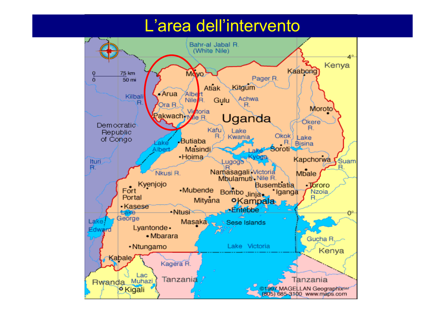### L'area dell'intervento

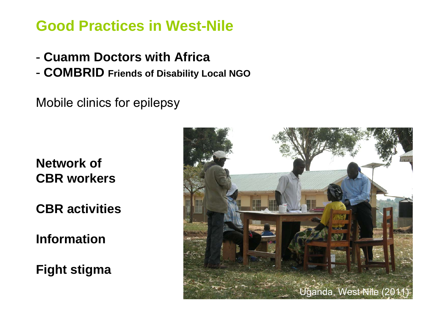### **Good Practices in West-Nile**

- **Cuamm Doctors with Africa**
- -**COMBRID Friends of Disability Local NGO**

Mobile clinics for epilepsy

**Network of CBR workers**

**CBR activities**

**Information**

**Fight stigma** 

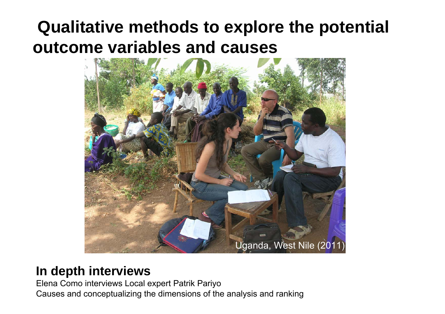### **Qualitative methods to explore the potential outcome variables and causes**



#### **In depth interviews**

Elena Como interviews Local expert Patrik Pariyo Causes and conceptualizing the dimensions of the analysis and ranking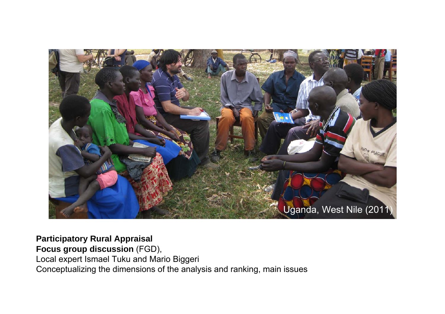

#### **Participatory Rural Appraisal**

**Focus group discussion** (FGD), Local expert Ismael Tuku and Mario Biggeri Conceptualizing the dimensions of the analysis and ranking, main issues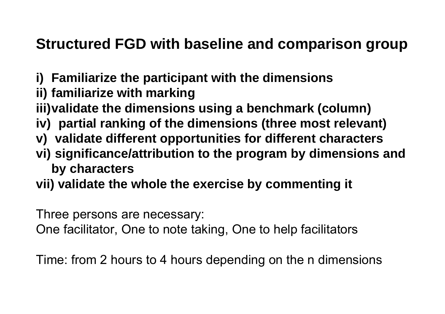### **Structured FGD with baseline and comparison group**

- **i) Familiarize the participant with the dimensions**
- **ii) familiarize with marking**
- **iii)validate the dimensions using a benchmark (column)**
- **iv) partial ranking of the dimensions (three most relevant)**
- **v) validate different opportunities for different characters**
- **vi) significance/attribution to the program by dimensions and by characters**
- **vii) validate the whole the exercise by commenting it**

Three persons are necessary:

One facilitator, One to note taking, One to help facilitators

Time: from 2 hours to 4 hours depending on the n dimensions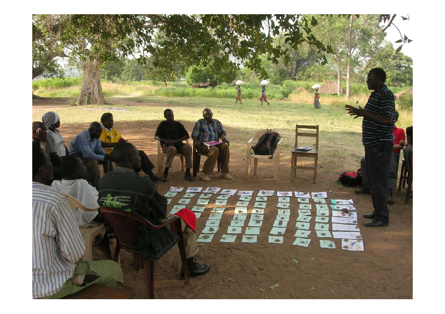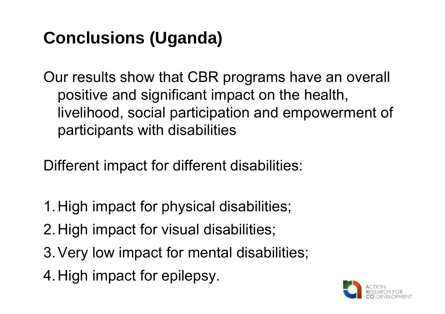## **Conclusions (Uganda)**

Our results show that CBR programs have an overall positive and significant impact on the health, livelihood, social participation and empowerment of participants with disabilities

Different impact for different disabilities:

- 1.High impact for physical disabilities;
- 2.High impact for visual disabilities;
- 3.Very low impact for mental disabilities;
- 4.High impact for epilepsy.

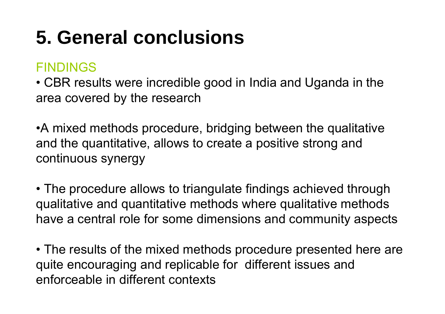## **5. General conclusions**

#### FINDINGS

• CBR results were incredible good in India and Uganda in the area covered by the research

•A mixed methods procedure, bridging between the qualitative and the quantitative, allows to create a positive strong and continuous synergy

• The procedure allows to triangulate findings achieved through qualitative and quantitative methods where qualitative methods have a central role for some dimensions and community aspects

• The results of the mixed methods procedure presented here are quite encouraging and replicable for different issues and enforceable in different contexts